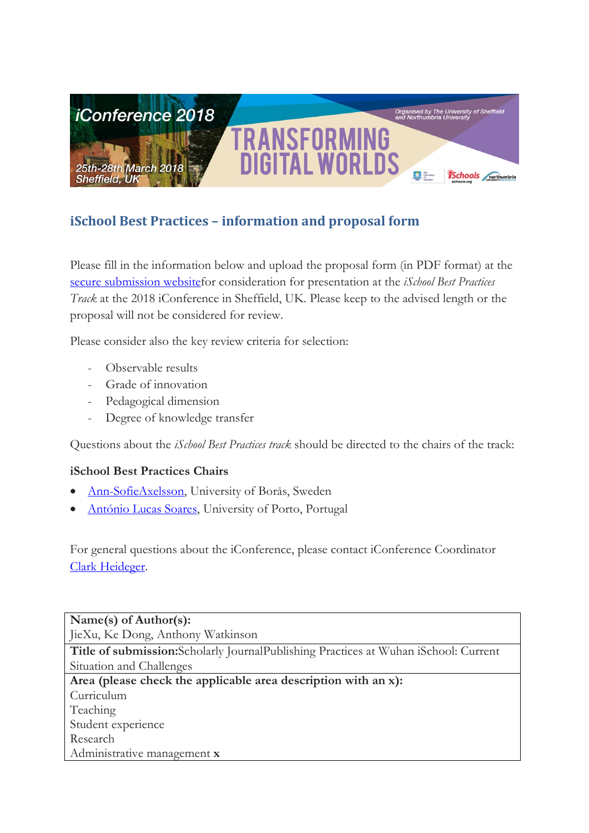

# **iSchool Best Practices – information and proposal form**

Please fill in the information below and upload the proposal form (in PDF format) at the [secure submission websitef](https://www.conftool.com/iconference2018/index.php?page=login)or consideration for presentation at the *iSchool Best Practices Track* at the 2018 iConference in Sheffield, UK. Please keep to the advised length or the proposal will not be considered for review.

Please consider also the key review criteria for selection:

- Observable results
- Grade of innovation
- Pedagogical dimension
- Degree of knowledge transfer

Questions about the *iSchool Best Practices track* should be directed to the chairs of the track:

## **iSchool Best Practices Chairs**

- [Ann-SofieAxelsson,](mailto:Ann-Sofie.Axelsson@hb.se) University of Borås, Sweden
- [António Lucas Soares,](mailto:als@fe.up.pt) University of Porto, Portugal

For general questions about the iConference, please contact iConference Coordinator [Clark Heideger.](mailto:clark@ischools.org)

**Name(s) of Author(s):** JieXu, Ke Dong, Anthony Watkinson **Title of submission:**Scholarly JournalPublishing Practices at Wuhan iSchool: Current Situation and Challenges **Area (please check the applicable area description with an x):** Curriculum Teaching Student experience Research Administrative management **x**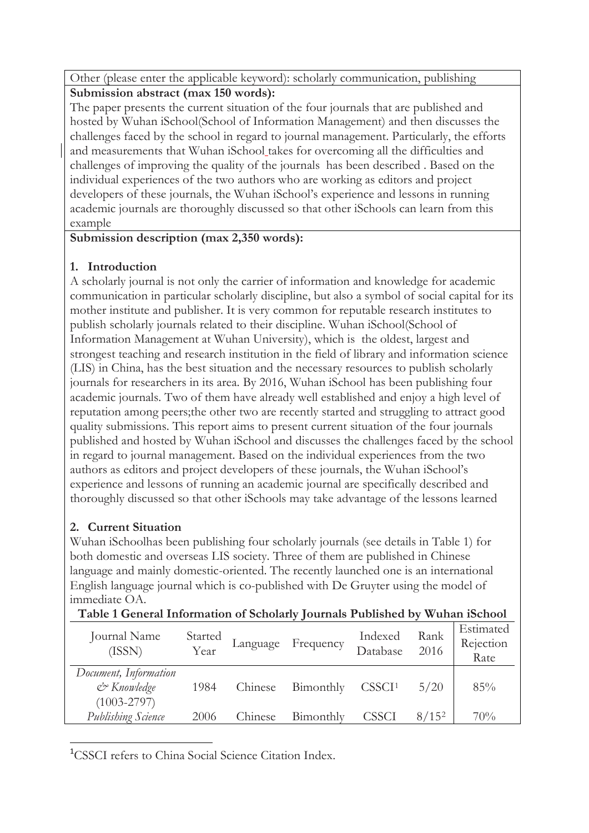Other (please enter the applicable keyword): scholarly communication, publishing **Submission abstract (max 150 words):**

The paper presents the current situation of the four journals that are published and hosted by Wuhan iSchool(School of Information Management) and then discusses the challenges faced by the school in regard to journal management. Particularly, the efforts and measurements that Wuhan iSchool takes for overcoming all the difficulties and challenges of improving the quality of the journals has been described . Based on the individual experiences of the two authors who are working as editors and project developers of these journals, the Wuhan iSchool's experience and lessons in running academic journals are thoroughly discussed so that other iSchools can learn from this example

## **Submission description (max 2,350 words):**

# **1. Introduction**

A scholarly journal is not only the carrier of information and knowledge for academic communication in particular scholarly discipline, but also a symbol of social capital for its mother institute and publisher. It is very common for reputable research institutes to publish scholarly journals related to their discipline. Wuhan iSchool(School of Information Management at Wuhan University), which is the oldest, largest and strongest teaching and research institution in the field of library and information science (LIS) in China, has the best situation and the necessary resources to publish scholarly journals for researchers in its area. By 2016, Wuhan iSchool has been publishing four academic journals. Two of them have already well established and enjoy a high level of reputation among peers;the other two are recently started and struggling to attract good quality submissions. This report aims to present current situation of the four journals published and hosted by Wuhan iSchool and discusses the challenges faced by the school in regard to journal management. Based on the individual experiences from the two authors as editors and project developers of these journals, the Wuhan iSchool's experience and lessons of running an academic journal are specifically described and thoroughly discussed so that other iSchools may take advantage of the lessons learned

# **2. Current Situation**

Wuhan iSchoolhas been publishing four scholarly journals (see details in Table 1) for both domestic and overseas LIS society. Three of them are published in Chinese language and mainly domestic-oriented. The recently launched one is an international English language journal which is co-published with De Gruyter using the model of immediate OA.

| Table 1 General Information of Scholarly Journals Published by Wuhan iSchool |                 |          |           |                     |              |                                |
|------------------------------------------------------------------------------|-----------------|----------|-----------|---------------------|--------------|--------------------------------|
| Journal Name<br>(ISSN)                                                       | Started<br>Year | Language | Frequency | Indexed<br>Database | Rank<br>2016 | Estimated<br>Rejection<br>Rate |
| Document, Information<br>& Knowledge<br>$(1003 - 2797)$                      | 1984            | Chinese  | Bimonthly | CSSCI <sup>1</sup>  | 5/20         | 85%                            |
| Publishing Science                                                           | 2006            | Chinese  | Bimonthly | <b>CSSCI</b>        | $8/15^2$     | 70%                            |

<span id="page-1-1"></span><span id="page-1-0"></span>1 CSSCI refers to China Social Science Citation Index.  $\overline{a}$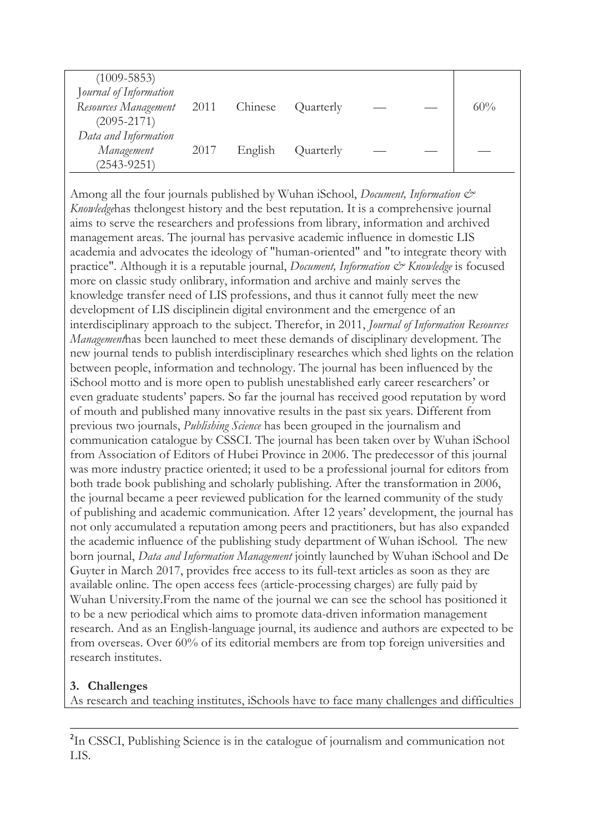| $(1009 - 5853)$        |      |         |           |  |     |
|------------------------|------|---------|-----------|--|-----|
| Journal of Information |      |         |           |  |     |
| Resources Management   | 2011 | Chinese | Quarterly |  | 60% |
| $(2095 - 2171)$        |      |         |           |  |     |
| Data and Information   |      |         |           |  |     |
| Management             | 2017 | English | Quarterly |  |     |
| $(2543 - 9251)$        |      |         |           |  |     |

Among all the four journals published by Wuhan iSchool, *Document, Information & Knowledge*has thelongest history and the best reputation. It is a comprehensive journal aims to serve the researchers and professions from library, information and archived management areas. The journal has pervasive academic influence in domestic LIS academia and advocates the ideology of "human-oriented" and "to integrate theory with practice". Although it is a reputable journal, *Document*, *Information*  $\mathcal{O}\times$  *Knowledge* is focused more on classic study onlibrary, information and archive and mainly serves the knowledge transfer need of LIS professions, and thus it cannot fully meet the new development of LIS disciplinein digital environment and the emergence of an interdisciplinary approach to the subject. Therefor, in 2011, *Journal of Information Resources Management*has been launched to meet these demands of disciplinary development. The new journal tends to publish interdisciplinary researches which shed lights on the relation between people, information and technology. The journal has been influenced by the iSchool motto and is more open to publish unestablished early career researchers' or even graduate students' papers. So far the journal has received good reputation by word of mouth and published many innovative results in the past six years. Different from previous two journals, *Publishing Science* has been grouped in the journalism and communication catalogue by CSSCI. The journal has been taken over by Wuhan iSchool from Association of Editors of Hubei Province in 2006. The predecessor of this journal was more industry practice oriented; it used to be a professional journal for editors from both trade book publishing and scholarly publishing. After the transformation in 2006, the journal became a peer reviewed publication for the learned community of the study of publishing and academic communication. After 12 years' development, the journal has not only accumulated a reputation among peers and practitioners, but has also expanded the academic influence of the publishing study department of Wuhan iSchool. The new born journal, *Data and Information Management* jointly launched by Wuhan iSchool and De Guyter in March 2017, provides free access to its full-text articles as soon as they are available online. The open access fees (article-processing charges) are fully paid by Wuhan University.From the name of the journal we can see the school has positioned it to be a new periodical which aims to promote data-driven information management research. And as an English-language journal, its audience and authors are expected to be from overseas. Over 60% of its editorial members are from top foreign universities and research institutes.

## **3. Challenges**

 $\overline{\phantom{a}}$ 

As research and teaching institutes, iSchools have to face many challenges and difficulties

<sup>2</sup>In CSSCI, Publishing Science is in the catalogue of journalism and communication not LIS.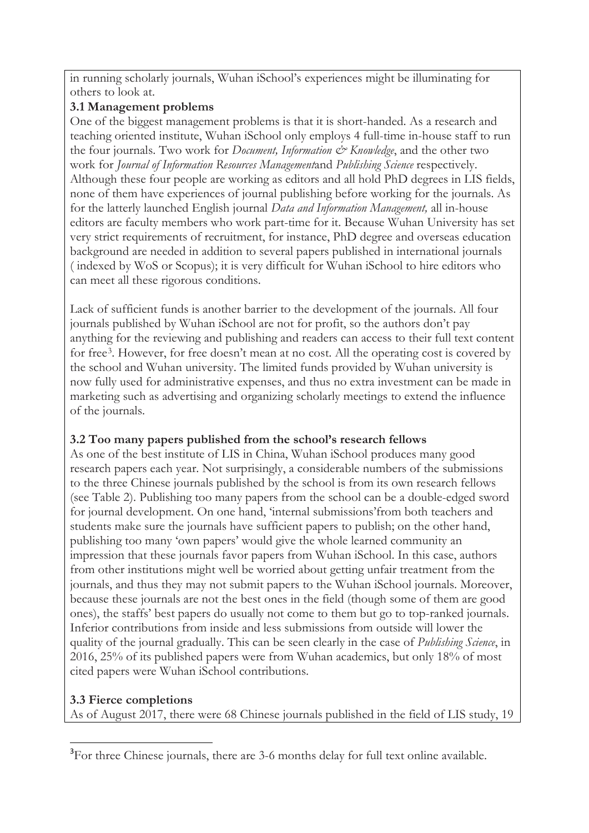in running scholarly journals, Wuhan iSchool's experiences might be illuminating for others to look at.

## **3.1 Management problems**

One of the biggest management problems is that it is short-handed. As a research and teaching oriented institute, Wuhan iSchool only employs 4 full-time in-house staff to run the four journals. Two work for *Document, Information & Knowledge*, and the other two work for *Journal of Information Resources Management*and *Publishing Science* respectively. Although these four people are working as editors and all hold PhD degrees in LIS fields, none of them have experiences of journal publishing before working for the journals. As for the latterly launched English journal *Data and Information Management,* all in-house editors are faculty members who work part-time for it. Because Wuhan University has set very strict requirements of recruitment, for instance, PhD degree and overseas education background are needed in addition to several papers published in international journals ( indexed by WoS or Scopus); it is very difficult for Wuhan iSchool to hire editors who can meet all these rigorous conditions.

Lack of sufficient funds is another barrier to the development of the journals. All four journals published by Wuhan iSchool are not for profit, so the authors don't pay anything for the reviewing and publishing and readers can access to their full text content for free[3](#page-3-0). However, for free doesn't mean at no cost. All the operating cost is covered by the school and Wuhan university. The limited funds provided by Wuhan university is now fully used for administrative expenses, and thus no extra investment can be made in marketing such as advertising and organizing scholarly meetings to extend the influence of the journals.

# **3.2 Too many papers published from the school's research fellows**

As one of the best institute of LIS in China, Wuhan iSchool produces many good research papers each year. Not surprisingly, a considerable numbers of the submissions to the three Chinese journals published by the school is from its own research fellows (see Table 2). Publishing too many papers from the school can be a double-edged sword for journal development. On one hand, 'internal submissions'from both teachers and students make sure the journals have sufficient papers to publish; on the other hand, publishing too many 'own papers' would give the whole learned community an impression that these journals favor papers from Wuhan iSchool. In this case, authors from other institutions might well be worried about getting unfair treatment from the journals, and thus they may not submit papers to the Wuhan iSchool journals. Moreover, because these journals are not the best ones in the field (though some of them are good ones), the staffs' best papers do usually not come to them but go to top-ranked journals. Inferior contributions from inside and less submissions from outside will lower the quality of the journal gradually. This can be seen clearly in the case of *Publishing Science*, in 2016, 25% of its published papers were from Wuhan academics, but only 18% of most cited papers were Wuhan iSchool contributions.

# **3.3 Fierce completions**

As of August 2017, there were 68 Chinese journals published in the field of LIS study, 19

<span id="page-3-0"></span><sup>&</sup>lt;sup>3</sup>For three Chinese journals, there are 3-6 months delay for full text online available.  $\overline{a}$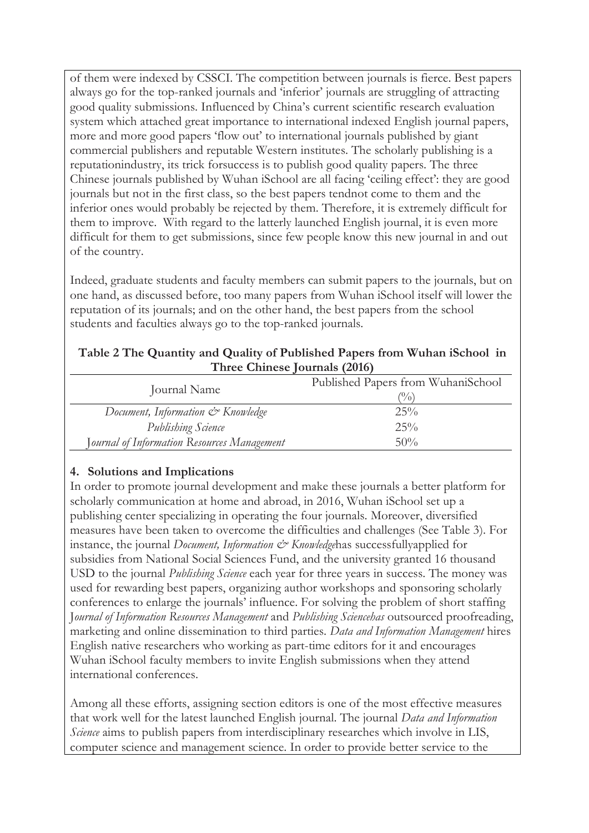of them were indexed by CSSCI. The competition between journals is fierce. Best papers always go for the top-ranked journals and 'inferior' journals are struggling of attracting good quality submissions. Influenced by China's current scientific research evaluation system which attached great importance to international indexed English journal papers, more and more good papers 'flow out' to international journals published by giant commercial publishers and reputable Western institutes. The scholarly publishing is a reputationindustry, its trick forsuccess is to publish good quality papers. The three Chinese journals published by Wuhan iSchool are all facing 'ceiling effect': they are good journals but not in the first class, so the best papers tendnot come to them and the inferior ones would probably be rejected by them. Therefore, it is extremely difficult for them to improve. With regard to the latterly launched English journal, it is even more difficult for them to get submissions, since few people know this new journal in and out of the country.

Indeed, graduate students and faculty members can submit papers to the journals, but on one hand, as discussed before, too many papers from Wuhan iSchool itself will lower the reputation of its journals; and on the other hand, the best papers from the school students and faculties always go to the top-ranked journals.

| Three Chinese Journals (2010)               |                                    |  |  |  |
|---------------------------------------------|------------------------------------|--|--|--|
|                                             | Published Papers from WuhaniSchool |  |  |  |
| Journal Name                                | (9/0)                              |  |  |  |
| Document, Information & Knowledge           | 25%                                |  |  |  |
| Publishing Science                          | $25\%$                             |  |  |  |
| Journal of Information Resources Management | $50\%$                             |  |  |  |

### **Table 2 The Quantity and Quality of Published Papers from Wuhan iSchool in Three Chinese Journals (2016)**

# **4. Solutions and Implications**

In order to promote journal development and make these journals a better platform for scholarly communication at home and abroad, in 2016, Wuhan iSchool set up a publishing center specializing in operating the four journals. Moreover, diversified measures have been taken to overcome the difficulties and challenges (See Table 3). For instance, the journal *Document*, Information & Knowledgehas successfullyapplied for subsidies from National Social Sciences Fund, and the university granted 16 thousand USD to the journal *Publishing Science* each year for three years in success. The money was used for rewarding best papers, organizing author workshops and sponsoring scholarly conferences to enlarge the journals' influence. For solving the problem of short staffing J*ournal of Information Resources Management* and *Publishing Sciencehas* outsourced proofreading, marketing and online dissemination to third parties. *Data and Information Management* hires English native researchers who working as part-time editors for it and encourages Wuhan iSchool faculty members to invite English submissions when they attend international conferences.

Among all these efforts, assigning section editors is one of the most effective measures that work well for the latest launched English journal. The journal *Data and Information Science* aims to publish papers from interdisciplinary researches which involve in LIS, computer science and management science. In order to provide better service to the